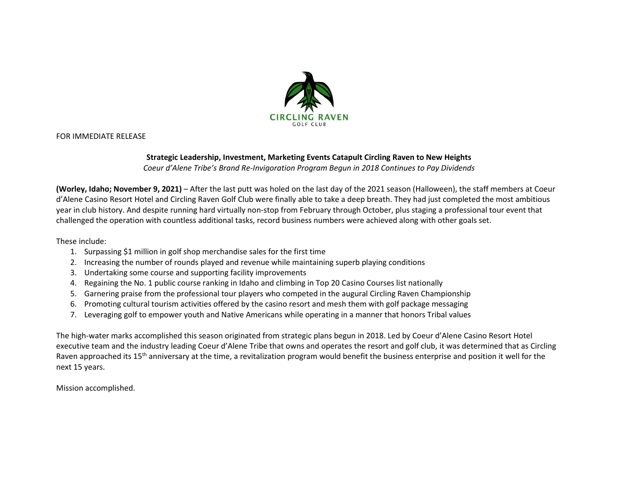

FOR IMMEDIATE RELEASE

## **Strategic Leadership, Investment, Marketing Events Catapult Circling Raven to New Heights**

*Coeur d'Alene Tribe's Brand Re-Invigoration Program Begun in 2018 Continues to Pay Dividends*

**(Worley, Idaho; November 9, 2021)** – After the last putt was holed on the last day of the 2021 season (Halloween), the staff members at Coeur d'Alene Casino Resort Hotel and Circling Raven Golf Club were finally able to take a deep breath. They had just completed the most ambitious year in club history. And despite running hard virtually non-stop from February through October, plus staging a professional tour event that challenged the operation with countless additional tasks, record business numbers were achieved along with other goals set.

These include:

- 1. Surpassing \$1 million in golf shop merchandise sales for the first time
- 2. Increasing the number of rounds played and revenue while maintaining superb playing conditions
- 3. Undertaking some course and supporting facility improvements
- 4. Regaining the No. 1 public course ranking in Idaho and climbing in Top 20 Casino Courses list nationally
- 5. Garnering praise from the professional tour players who competed in the augural Circling Raven Championship
- 6. Promoting cultural tourism activities offered by the casino resort and mesh them with golf package messaging
- 7. Leveraging golf to empower youth and Native Americans while operating in a manner that honors Tribal values

The high-water marks accomplished this season originated from strategic plans begun in 2018. Led by Coeur d'Alene Casino Resort Hotel executive team and the industry leading Coeur d'Alene Tribe that owns and operates the resort and golf club, it was determined that as Circling Raven approached its 15<sup>th</sup> anniversary at the time, a revitalization program would benefit the business enterprise and position it well for the next 15 years.

Mission accomplished.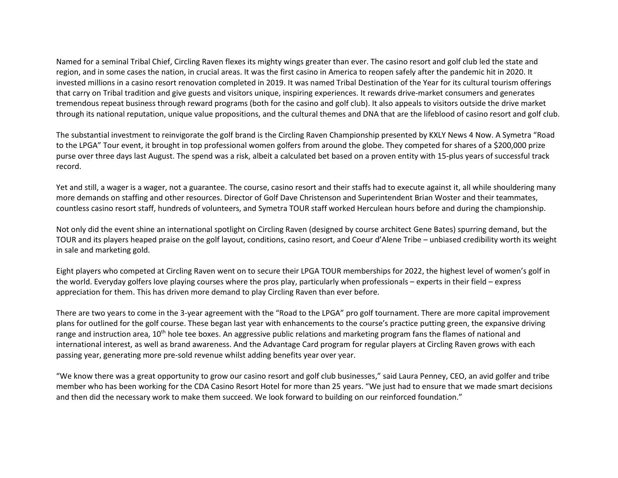Named for a seminal Tribal Chief, Circling Raven flexes its mighty wings greater than ever. The casino resort and golf club led the state and region, and in some cases the nation, in crucial areas. It was the first casino in America to reopen safely after the pandemic hit in 2020. It invested millions in a casino resort renovation completed in 2019. It was named Tribal Destination of the Year for its cultural tourism offerings that carry on Tribal tradition and give guests and visitors unique, inspiring experiences. It rewards drive-market consumers and generates tremendous repeat business through reward programs (both for the casino and golf club). It also appeals to visitors outside the drive market through its national reputation, unique value propositions, and the cultural themes and DNA that are the lifeblood of casino resort and golf club.

The substantial investment to reinvigorate the golf brand is the Circling Raven Championship presented by KXLY News 4 Now. A Symetra "Road to the LPGA" Tour event, it brought in top professional women golfers from around the globe. They competed for shares of a \$200,000 prize purse over three days last August. The spend was a risk, albeit a calculated bet based on a proven entity with 15-plus years of successful track record.

Yet and still, a wager is a wager, not a guarantee. The course, casino resort and their staffs had to execute against it, all while shouldering many more demands on staffing and other resources. Director of Golf Dave Christenson and Superintendent Brian Woster and their teammates, countless casino resort staff, hundreds of volunteers, and Symetra TOUR staff worked Herculean hours before and during the championship.

Not only did the event shine an international spotlight on Circling Raven (designed by course architect Gene Bates) spurring demand, but the TOUR and its players heaped praise on the golf layout, conditions, casino resort, and Coeur d'Alene Tribe – unbiased credibility worth its weight in sale and marketing gold.

Eight players who competed at Circling Raven went on to secure their LPGA TOUR memberships for 2022, the highest level of women's golf in the world. Everyday golfers love playing courses where the pros play, particularly when professionals – experts in their field – express appreciation for them. This has driven more demand to play Circling Raven than ever before.

There are two years to come in the 3-year agreement with the "Road to the LPGA" pro golf tournament. There are more capital improvement plans for outlined for the golf course. These began last year with enhancements to the course's practice putting green, the expansive driving range and instruction area, 10<sup>th</sup> hole tee boxes. An aggressive public relations and marketing program fans the flames of national and international interest, as well as brand awareness. And the Advantage Card program for regular players at Circling Raven grows with each passing year, generating more pre-sold revenue whilst adding benefits year over year.

"We know there was a great opportunity to grow our casino resort and golf club businesses," said Laura Penney, CEO, an avid golfer and tribe member who has been working for the CDA Casino Resort Hotel for more than 25 years. "We just had to ensure that we made smart decisions and then did the necessary work to make them succeed. We look forward to building on our reinforced foundation."